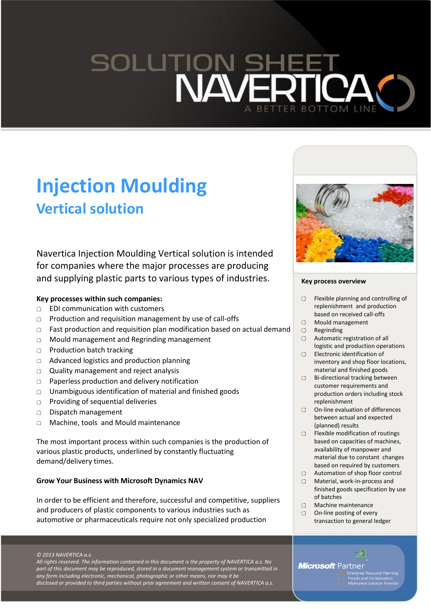# **SOLUTION BOTTOM LINE**

# **Injection Moulding Vertical solution**

Navertica Injection Moulding Vertical solution is intended for companies where the major processes are producing and supplying plastic parts to various types of industries.

### **Key processes within such companies:**

- EDI communication with customers  $\Omega$
- O Production and requisition management by use of call-offs
- Fast production and requisition plan modification based on actual demand
- Mould management and Regrinding management
- $\circ$  Production batch tracking
- Advanced logistics and production planning
- Quality management and reject analysis
- $\circ$  Paperless production and delivery notification
- Unambiguous identification of material and finished goods
- $\circ$  Providing of sequential deliveries
- Dispatch management
- Machine, tools and Mould maintenance  $\circ$

The most important process within such companies is the production of various plastic products, underlined by constantly fluctuating demand/delivery times.

#### **Grow Your Business with Microsoft Dynamics NAV**

In order to be efficient and therefore, successful and competitive, suppliers and producers of plastic components to various industries such as automotive or pharmaceuticals require not only specialized production

*© 2013 NAVERTICA a.s.*

*All rights reserved. The information contained in this document is the property of NAVERTICA a.s. No part of this document may be reproduced, stored in a document management system or transmitted in any form including electronic, mechanical, photographic or other means, nor may it be disclosed or provided to third parties without prior agreement and written consent of NAVERTICA a.s.*



#### **Key process overview**

- $\circ$ Flexible planning and controlling of replenishment and production based on received call-offs
- Mould management
- O Regrinding
- Automatic registration of all logistic and production operations
- Electronic identification of inventory and shop floor locations, material and finished goods
- Bi-directional tracking between customer requirements and production orders including stock replenishment
- On-line evaluation of differences between actual and expected (planned) results
- Flexible modification of routings based on capacities of machines, availability of manpower and material due to constant changes based on required by customers
- Automation of shop floor control
- Material, work-in-process and finished goods specification by use of batches
- Machine maintenance
- On-line posting of every transaction to general ledger

# **Microsoft** Partner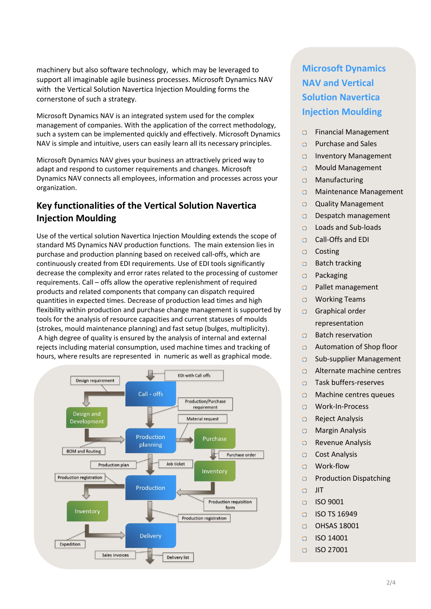machinery but also software technology, which may be leveraged to support all imaginable agile business processes. Microsoft Dynamics NAV with the Vertical Solution Navertica Injection Moulding forms the cornerstone of such a strategy.

Microsoft Dynamics NAV is an integrated system used for the complex management of companies. With the application of the correct methodology, such a system can be implemented quickly and effectively. Microsoft Dynamics NAV is simple and intuitive, users can easily learn all its necessary principles.

Microsoft Dynamics NAV gives your business an attractively priced way to adapt and respond to customer requirements and changes. Microsoft Dynamics NAV connects all employees, information and processes across your organization.

# **Key functionalities of the Vertical Solution Navertica Injection Moulding**

Use of the vertical solution Navertica Injection Moulding extends the scope of standard MS Dynamics NAV production functions. The main extension lies in purchase and production planning based on received call-offs, which are continuously created from EDI requirements. Use of EDI tools significantly decrease the complexity and error rates related to the processing of customer requirements. Call – offs allow the operative replenishment of required products and related components that company can dispatch required quantities in expected times. Decrease of production lead times and high flexibility within production and purchase change management is supported by tools for the analysis of resource capacities and current statuses of moulds (strokes, mould maintenance planning) and fast setup (bulges, multiplicity). A high degree of quality is ensured by the analysis of internal and external rejects including material consumption, used machine times and tracking of hours, where results are represented in numeric as well as graphical mode.



# **Microsoft Dynamics NAV and Vertical Solution Navertica Injection Moulding**

- $\circ$ Financial Management
- Purchase and Sales  $\Omega$
- Inventory Management  $\circ$
- Mould Management  $\circ$
- Manufacturing  $\circ$
- Maintenance Management  $\circ$
- Quality Management  $\circ$
- Despatch management  $\Omega$
- Loads and Sub-loads  $\circ$
- Call-Offs and EDI  $\circ$
- $\overline{O}$ Costing
- Batch tracking  $\circ$
- $\circ$ Packaging
- Pallet management  $\circ$
- Working Teams  $\circ$
- Graphical order  $\circ$ representation
- $\Omega$ Batch reservation
- $\Omega$ Automation of Shop floor
- Sub-supplier Management  $\circ$
- Alternate machine centres  $\circ$
- Task buffers-reserves  $\circ$
- Machine centres queues  $\circ$
- Work-In-Process  $\Omega$
- $\Omega$ Reject Analysis
- Margin Analysis  $\circ$
- Revenue Analysis  $\circ$
- $\circ$ Cost Analysis
- $\circ$ Work-flow
- $\overline{O}$ Production Dispatching
- $\circ$ JIT
- $\Omega$ ISO 9001
- $\circ$ ISO TS 16949
- OHSAS 18001  $\circ$
- $\Omega$ ISO 14001
- $\circ$ ISO 27001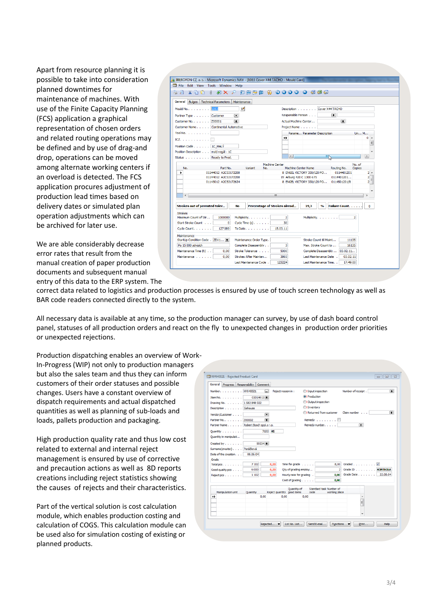Apart from resource planning it is possible to take into consideration planned downtimes for maintenance of machines. With use of the Finite Capacity Planning (FCS) application a graphical representation of chosen orders and related routing operations may be defined and by use of drag-and drop, operations can be moved among alternate working centers if an overload is detected. The FCS application procures adjustment of production lead times based on delivery dates or simulated plan operation adjustments which can be archived for later use.

We are able considerably decrease error rates that result from the manual creation of paper production documents and subsequent manual entry of this data to the ERP system. The

| 11 IBEROFON CZ, a. s. - Microsoft Dynamics NAV - [1063 Cover X44 TACHO - Mould Card]<br>File Edit View Tools Window Help |                                  |                                                         |                              |                                                                                        |                                                  |                       |  |  |  |
|--------------------------------------------------------------------------------------------------------------------------|----------------------------------|---------------------------------------------------------|------------------------------|----------------------------------------------------------------------------------------|--------------------------------------------------|-----------------------|--|--|--|
| $\lambda$ h $\Box$<br>$\mathbf{d}$<br>्ष<br>à.                                                                           | <b>AXP</b>                       |                                                         | <b>印刷参印 : 3 0000 0 包包包</b>   |                                                                                        |                                                  |                       |  |  |  |
|                                                                                                                          |                                  |                                                         |                              |                                                                                        |                                                  |                       |  |  |  |
| General Bulges Technical Parameters Maintenance                                                                          |                                  |                                                         |                              |                                                                                        |                                                  |                       |  |  |  |
| Mould No. 1068                                                                                                           |                                  | $\mathcal{P}$                                           |                              |                                                                                        | Description Cover X44 TACHO                      |                       |  |  |  |
| Partner Type Customer                                                                                                    | $\left[\rule{0pt}{10pt}\right.$  |                                                         |                              | Responsible Person<br>围                                                                |                                                  |                       |  |  |  |
| Customer No. 200001                                                                                                      |                                  | $\blacksquare$<br>Actual Machine Center<br>Project Name |                              |                                                                                        |                                                  |                       |  |  |  |
| Customer Name Continental Automotive                                                                                     |                                  |                                                         |                              |                                                                                        |                                                  |                       |  |  |  |
| Tool No.                                                                                                                 |                                  |                                                         |                              |                                                                                        | Parame Parameter Description                     | Un M                  |  |  |  |
| $ICZ$ , , , , , , , , , , , $\Box$                                                                                       |                                  |                                                         | ₩                            |                                                                                        |                                                  | $0 -$                 |  |  |  |
| Position Code 1C MALÝ                                                                                                    |                                  |                                                         |                              |                                                                                        |                                                  | $\equiv$              |  |  |  |
| Position Description malý regál - 1C                                                                                     |                                  |                                                         |                              |                                                                                        |                                                  | ٠                     |  |  |  |
| Status Ready to Prod.                                                                                                    |                                  |                                                         | $\leftarrow$                 |                                                                                        | ШÞ                                               | P.                    |  |  |  |
|                                                                                                                          |                                  |                                                         | Machine Center               |                                                                                        |                                                  | No. of                |  |  |  |
| No.<br>٠                                                                                                                 | Part No.<br>01144012 A2C53172208 | Variant<br>No.                                          |                              | Machine Center Name                                                                    | Routing No.<br>0114401201                        | Copies<br>$2^{\circ}$ |  |  |  |
| 01144012 A2C53172208                                                                                                     |                                  |                                                         |                              | 8 ENGEL VICTORY 330/120 PO<br>$\overline{2}$<br>19 Arburg 420 C 1300-675<br>0114401201 |                                                  |                       |  |  |  |
|                                                                                                                          | 01145012 A2C53172634             |                                                         |                              |                                                                                        | 8 ENGEL VICTORY 330/120 PO 0114501201/8          | $\frac{1}{2}$         |  |  |  |
|                                                                                                                          |                                  |                                                         |                              |                                                                                        |                                                  | ٠                     |  |  |  |
| $\leftarrow$                                                                                                             |                                  |                                                         | <b>III</b>                   |                                                                                        |                                                  |                       |  |  |  |
|                                                                                                                          |                                  |                                                         |                              |                                                                                        |                                                  |                       |  |  |  |
| Strokes out of permited toler                                                                                            | <b>No</b>                        |                                                         | Percentage of Strokes alread | 19,3                                                                                   | <b>Failure Count.</b><br>$\mathbf{a}/\mathbf{b}$ | o                     |  |  |  |
| <b>Strokes</b>                                                                                                           |                                  |                                                         |                              |                                                                                        |                                                  |                       |  |  |  |
| Maximum Count of Str<br>Start Stroke Count                                                                               | 1000000<br>$\overline{0}$        | Multiplicity,<br>Cycle Time $(s)$ .                     | $\overline{2}$<br>30         |                                                                                        | Multiplicity,                                    | $\overline{2}$        |  |  |  |
| Cycle Count. 1                                                                                                           | 127089                           | To Date, 1                                              | 15.03.11                     |                                                                                        |                                                  |                       |  |  |  |
| Maintenance                                                                                                              |                                  |                                                         |                              |                                                                                        |                                                  |                       |  |  |  |
| StartUp Condition Code . ZDV1 [1]                                                                                        |                                  | Maintenance Order Type.                                 |                              |                                                                                        | Stroke Count till Maint                          | 11135                 |  |  |  |
| Complete Disassembly<br>Po 15 000 zdvizích                                                                               |                                  |                                                         |                              | $\overline{\mathbf{3}}$<br>Max. Stroke Count to<br>16135                               |                                                  |                       |  |  |  |
| Maintenance Time (h)                                                                                                     | 0.00                             | Stroke Tolerance                                        | 5000                         | Complete Disassembly  03.02.11                                                         |                                                  |                       |  |  |  |
| Maintenance                                                                                                              | 0.00                             | Strokes After Mainten                                   | 3865                         |                                                                                        | Last Maintenance Date :<br>03.02.11              |                       |  |  |  |
|                                                                                                                          |                                  | Last Maintenance Cycle .                                | 123224                       |                                                                                        | Last Maintenance Time. .<br>17:49:00             |                       |  |  |  |

correct data related to logistics and production processes is ensured by use of touch screen technology as well as BAR code readers connected directly to the system.

All necessary data is available at any time, so the production manager can survey, by use of dash board control panel, statuses of all production orders and react on the fly to unexpected changes in production order priorities or unexpected rejections.

Production dispatching enables an overview of Work-In-Progress (WIP) not only to production managers but also the sales team and thus they can inform customers of their order statuses and possible changes. Users have a constant overview of dispatch requirements and actual dispatched quantities as well as planning of sub-loads and loads, pallets production and packaging.

High production quality rate and thus low cost related to external and internal reject management is ensured by use of corrective and precaution actions as well as 8D reports creations including reject statistics showing the causes of rejects and their characteristics.

Part of the vertical solution is cost calculation module, which enables production costing and calculation of COGS. This calculation module can be used also for simulation costing of existing or planned products.

|                  |                              | General Progress Responsibility Comment |                           |                                    |                           |                                                |               |                    |    |                          |
|------------------|------------------------------|-----------------------------------------|---------------------------|------------------------------------|---------------------------|------------------------------------------------|---------------|--------------------|----|--------------------------|
|                  |                              | Number. NV040021                        |                           | $\Box$<br>Reject reason in :       |                           | <b>I</b> Input inspection                      |               | Number of receipt. |    | 田                        |
|                  | Item No. $\ldots$ , $\ldots$ |                                         | $03014013$ <sup>[4]</sup> |                                    |                           | <b>O</b> Production                            |               |                    |    |                          |
|                  |                              | Drawing No. 1 582 848 022               |                           |                                    |                           | <b>OI</b> Output inspection                    |               |                    |    |                          |
|                  |                              | Description Gehause                     |                           |                                    |                           | <b>Ollnventory</b>                             |               |                    |    |                          |
|                  | Vendor/Customer              |                                         |                           | $\left( \frac{1}{2} \right)$       |                           | <b>Cli</b> Returned from customer Claim number |               |                    |    | 画                        |
|                  | Partner No Z00002            |                                         |                           | 圃                                  |                           | Remedy 1                                       |               |                    |    |                          |
|                  |                              | Partner Name. Robert Bosch spol.s r.o.  |                           |                                    |                           | Remedy number.                                 |               |                    | 图  |                          |
|                  | Quantity                     |                                         |                           | 7102 KS                            |                           |                                                |               |                    |    |                          |
|                  | Quantity in manipulati       |                                         |                           |                                    |                           |                                                |               |                    |    |                          |
|                  | Create by                    |                                         | $50234$ $+$               |                                    |                           |                                                |               |                    |    |                          |
|                  |                              | Surname(creator) Peráčková              |                           |                                    |                           |                                                |               |                    |    |                          |
|                  | Date of the creation.        | 08.06.04                                |                           |                                    |                           |                                                |               |                    |    |                          |
| Grade            |                              |                                         |                           |                                    |                           |                                                |               |                    |    |                          |
|                  | Total pcs.                   | 7 10 2                                  |                           | 0.00                               | Time for grade $\ldots$ . |                                                |               | 8,00 Graded V      |    |                          |
|                  | Good quality pcs             | 6 0 0 0                                 |                           | 0,00                               | Oty of grading employ     |                                                |               |                    |    | 2 Grade ID KONTROLA      |
|                  | Reject pcs                   | 1 10 2                                  |                           | 0.00                               | Hourly rate for grading . |                                                |               |                    |    | 0.00 Grade Date 22.06.04 |
|                  |                              |                                         |                           |                                    | Cost of grading           |                                                | 0,00          |                    |    |                          |
|                  |                              |                                         |                           |                                    | Quantity of               | Standard task Number of                        |               |                    |    |                          |
| $\bullet\bullet$ | Manipulation unit            | Quantity                                | 0.00                      | Reject quantity good items<br>0.00 | 0.00                      | code                                           | working place |                    | A  |                          |
|                  |                              |                                         |                           |                                    |                           |                                                |               |                    | Ē. |                          |
|                  |                              |                                         |                           |                                    |                           |                                                |               |                    |    |                          |
|                  |                              |                                         |                           |                                    |                           |                                                |               |                    |    |                          |
|                  |                              |                                         |                           |                                    |                           |                                                |               |                    | ٠  |                          |